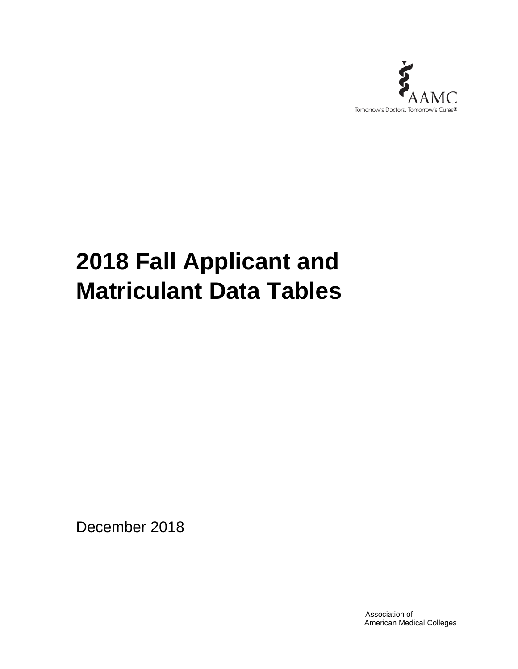

# **2018 Fall Applicant and Matriculant Data Tables**

December 2018

Association of American Medical Colleges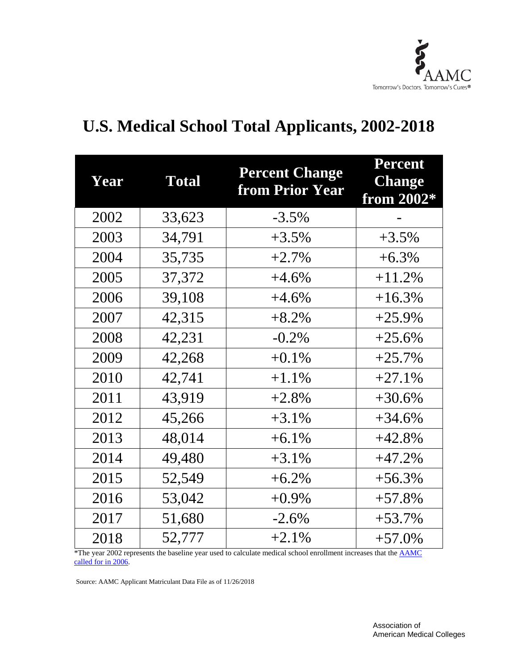

| Year | <b>Total</b> | <b>Percent Change</b><br>from Prior Year | Percent<br><b>Change</b><br>from 2002* |
|------|--------------|------------------------------------------|----------------------------------------|
| 2002 | 33,623       | $-3.5%$                                  |                                        |
| 2003 | 34,791       | $+3.5%$                                  | $+3.5%$                                |
| 2004 | 35,735       | $+2.7%$                                  | $+6.3%$                                |
| 2005 | 37,372       | $+4.6%$                                  | $+11.2%$                               |
| 2006 | 39,108       | $+4.6%$                                  | $+16.3%$                               |
| 2007 | 42,315       | $+8.2%$                                  | $+25.9%$                               |
| 2008 | 42,231       | $-0.2%$                                  | $+25.6%$                               |
| 2009 | 42,268       | $+0.1%$                                  | $+25.7%$                               |
| 2010 | 42,741       | $+1.1%$                                  | $+27.1%$                               |
| 2011 | 43,919       | $+2.8%$                                  | $+30.6%$                               |
| 2012 | 45,266       | $+3.1%$                                  | $+34.6%$                               |
| 2013 | 48,014       | $+6.1%$                                  | $+42.8%$                               |
| 2014 | 49,480       | $+3.1%$                                  | $+47.2%$                               |
| 2015 | 52,549       | $+6.2%$                                  | $+56.3%$                               |
| 2016 | 53,042       | $+0.9\%$                                 | $+57.8%$                               |
| 2017 | 51,680       | $-2.6%$                                  | $+53.7%$                               |
| 2018 | 52,777       | $+2.1%$                                  | $+57.0%$                               |

## **U.S. Medical School Total Applicants, 2002-2018**

\*The year 2002 represents the baseline year used to calculate medical school enrollment increases that the [AAMC](https://www.aamc.org/download/304026/data/2012aamcworkforcepolicyrecommendations.pdf)  [called for in 2006.](https://www.aamc.org/download/304026/data/2012aamcworkforcepolicyrecommendations.pdf)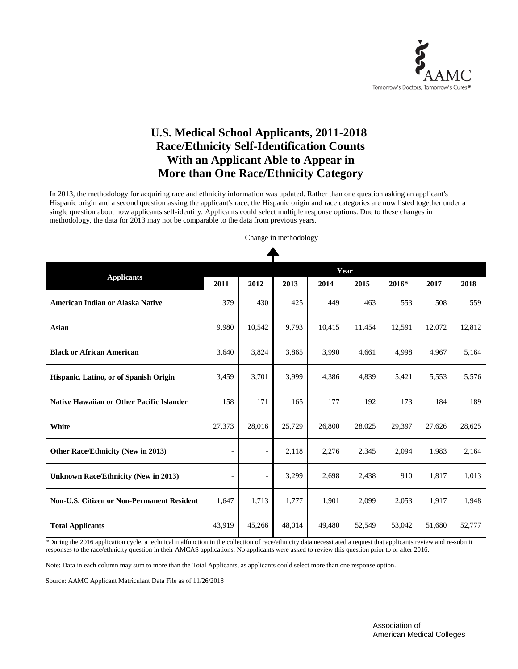

#### **U.S. Medical School Applicants, 2011-2018 Race/Ethnicity Self-Identification Counts With an Applicant Able to Appear in More than One Race/Ethnicity Category**

In 2013, the methodology for acquiring race and ethnicity information was updated. Rather than one question asking an applicant's Hispanic origin and a second question asking the applicant's race, the Hispanic origin and race categories are now listed together under a single question about how applicants self-identify. Applicants could select multiple response options. Due to these changes in methodology, the data for 2013 may not be comparable to the data from previous years.

Change in methodology

|                                                   |        |        |        |        | Year   |        |        |        |
|---------------------------------------------------|--------|--------|--------|--------|--------|--------|--------|--------|
| <b>Applicants</b>                                 | 2011   | 2012   | 2013   | 2014   | 2015   | 2016*  | 2017   | 2018   |
| American Indian or Alaska Native                  | 379    | 430    | 425    | 449    | 463    | 553    | 508    | 559    |
| Asian                                             | 9,980  | 10,542 | 9,793  | 10,415 | 11,454 | 12,591 | 12,072 | 12,812 |
| <b>Black or African American</b>                  | 3,640  | 3,824  | 3,865  | 3,990  | 4,661  | 4,998  | 4,967  | 5,164  |
| Hispanic, Latino, or of Spanish Origin            | 3,459  | 3,701  | 3,999  | 4,386  | 4,839  | 5,421  | 5,553  | 5,576  |
| <b>Native Hawaiian or Other Pacific Islander</b>  | 158    | 171    | 165    | 177    | 192    | 173    | 184    | 189    |
| White                                             | 27,373 | 28,016 | 25,729 | 26,800 | 28,025 | 29,397 | 27,626 | 28,625 |
| Other Race/Ethnicity (New in 2013)                |        |        | 2,118  | 2,276  | 2,345  | 2,094  | 1,983  | 2,164  |
| <b>Unknown Race/Ethnicity (New in 2013)</b>       |        |        | 3,299  | 2,698  | 2,438  | 910    | 1,817  | 1,013  |
| <b>Non-U.S. Citizen or Non-Permanent Resident</b> | 1,647  | 1,713  | 1,777  | 1,901  | 2,099  | 2,053  | 1,917  | 1,948  |
| <b>Total Applicants</b>                           | 43,919 | 45,266 | 48,014 | 49,480 | 52,549 | 53,042 | 51,680 | 52,777 |

\*During the 2016 application cycle, a technical malfunction in the collection of race/ethnicity data necessitated a request that applicants review and re-submit responses to the race/ethnicity question in their AMCAS applications. No applicants were asked to review this question prior to or after 2016.

Note: Data in each column may sum to more than the Total Applicants, as applicants could select more than one response option.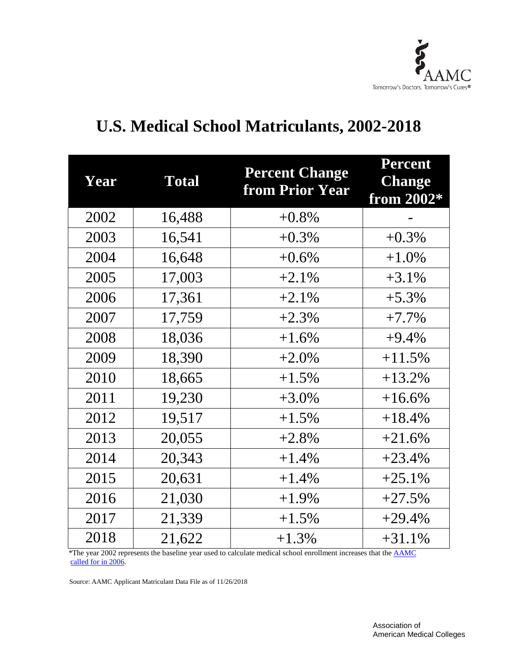

| Year | <b>Total</b> | <b>Percent Change</b><br>from Prior Year | Percent<br><b>Change</b><br>from $2002*$ |
|------|--------------|------------------------------------------|------------------------------------------|
| 2002 | 16,488       | $+0.8%$                                  |                                          |
| 2003 | 16,541       | $+0.3\%$                                 | $+0.3%$                                  |
| 2004 | 16,648       | $+0.6\%$                                 | $+1.0%$                                  |
| 2005 | 17,003       | $+2.1%$                                  | $+3.1%$                                  |
| 2006 | 17,361       | $+2.1%$                                  | $+5.3%$                                  |
| 2007 | 17,759       | $+2.3%$                                  | $+7.7%$                                  |
| 2008 | 18,036       | $+1.6%$                                  | $+9.4%$                                  |
| 2009 | 18,390       | $+2.0%$                                  | $+11.5%$                                 |
| 2010 | 18,665       | $+1.5%$                                  | $+13.2%$                                 |
| 2011 | 19,230       | $+3.0%$                                  | $+16.6%$                                 |
| 2012 | 19,517       | $+1.5%$                                  | $+18.4%$                                 |
| 2013 | 20,055       | $+2.8%$                                  | $+21.6%$                                 |
| 2014 | 20,343       | $+1.4%$                                  | $+23.4%$                                 |
| 2015 | 20,631       | $+1.4%$                                  | $+25.1%$                                 |
| 2016 | 21,030       | $+1.9%$                                  | $+27.5%$                                 |
| 2017 | 21,339       | $+1.5%$                                  | $+29.4%$                                 |
| 2018 | 21,622       | $+1.3%$                                  | $+31.1%$                                 |

### **U.S. Medical School Matriculants, 2002-2018**

called for in 2006.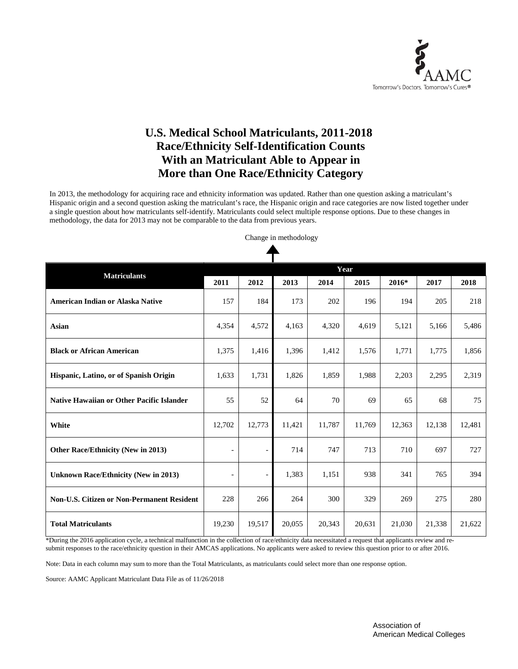

#### **U.S. Medical School Matriculants, 2011-2018 Race/Ethnicity Self-Identification Counts With an Matriculant Able to Appear in More than One Race/Ethnicity Category**

In 2013, the methodology for acquiring race and ethnicity information was updated. Rather than one question asking a matriculant's Hispanic origin and a second question asking the matriculant's race, the Hispanic origin and race categories are now listed together under a single question about how matriculants self-identify. Matriculants could select multiple response options. Due to these changes in methodology, the data for 2013 may not be comparable to the data from previous years.

Change in methodology

|                                                   |                          | Year                     |        |        |        |        |        |        |
|---------------------------------------------------|--------------------------|--------------------------|--------|--------|--------|--------|--------|--------|
| <b>Matriculants</b>                               | 2011                     | 2012                     | 2013   | 2014   | 2015   | 2016*  | 2017   | 2018   |
| <b>American Indian or Alaska Native</b>           | 157                      | 184                      | 173    | 202    | 196    | 194    | 205    | 218    |
| Asian                                             | 4,354                    | 4,572                    | 4,163  | 4,320  | 4,619  | 5,121  | 5,166  | 5,486  |
| <b>Black or African American</b>                  | 1,375                    | 1,416                    | 1,396  | 1,412  | 1,576  | 1,771  | 1,775  | 1,856  |
| Hispanic, Latino, or of Spanish Origin            | 1,633                    | 1,731                    | 1,826  | 1,859  | 1,988  | 2,203  | 2,295  | 2,319  |
| <b>Native Hawaiian or Other Pacific Islander</b>  | 55                       | 52                       | 64     | 70     | 69     | 65     | 68     | 75     |
| White                                             | 12,702                   | 12,773                   | 11,421 | 11,787 | 11,769 | 12,363 | 12,138 | 12,481 |
| Other Race/Ethnicity (New in 2013)                | $\overline{\phantom{a}}$ | $\overline{\phantom{a}}$ | 714    | 747    | 713    | 710    | 697    | 727    |
| Unknown Race/Ethnicity (New in 2013)              |                          | $\overline{\phantom{a}}$ | 1,383  | 1,151  | 938    | 341    | 765    | 394    |
| <b>Non-U.S. Citizen or Non-Permanent Resident</b> | 228                      | 266                      | 264    | 300    | 329    | 269    | 275    | 280    |
| <b>Total Matriculants</b>                         | 19,230                   | 19,517                   | 20,055 | 20,343 | 20,631 | 21,030 | 21,338 | 21,622 |

\*During the 2016 application cycle, a technical malfunction in the collection of race/ethnicity data necessitated a request that applicants review and resubmit responses to the race/ethnicity question in their AMCAS applications. No applicants were asked to review this question prior to or after 2016.

Note: Data in each column may sum to more than the Total Matriculants, as matriculants could select more than one response option.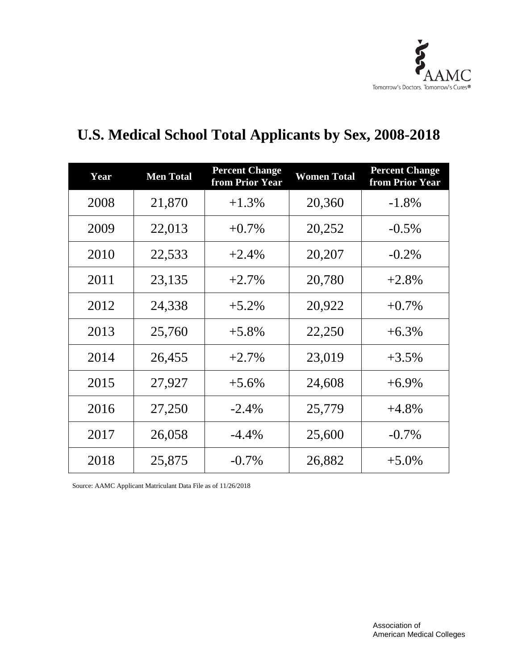

### **U.S. Medical School Total Applicants by Sex, 2008-2018**

| Year | <b>Men Total</b> | <b>Percent Change</b><br>from Prior Year | <b>Women Total</b> | <b>Percent Change</b><br>from Prior Year |
|------|------------------|------------------------------------------|--------------------|------------------------------------------|
| 2008 | 21,870           | $+1.3\%$                                 | 20,360             | $-1.8%$                                  |
| 2009 | 22,013           | $+0.7\%$                                 | 20,252             | $-0.5\%$                                 |
| 2010 | 22,533           | $+2.4%$                                  | 20,207             | $-0.2\%$                                 |
| 2011 | 23,135           | $+2.7\%$                                 | 20,780             | $+2.8%$                                  |
| 2012 | 24,338           | $+5.2%$                                  | 20,922             | $+0.7\%$                                 |
| 2013 | 25,760           | $+5.8\%$                                 | 22,250             | $+6.3\%$                                 |
| 2014 | 26,455           | $+2.7\%$                                 | 23,019             | $+3.5%$                                  |
| 2015 | 27,927           | $+5.6\%$                                 | 24,608             | $+6.9\%$                                 |
| 2016 | 27,250           | $-2.4\%$                                 | 25,779             | $+4.8\%$                                 |
| 2017 | 26,058           | $-4.4\%$                                 | 25,600             | $-0.7\%$                                 |
| 2018 | 25,875           | $-0.7\%$                                 | 26,882             | $+5.0\%$                                 |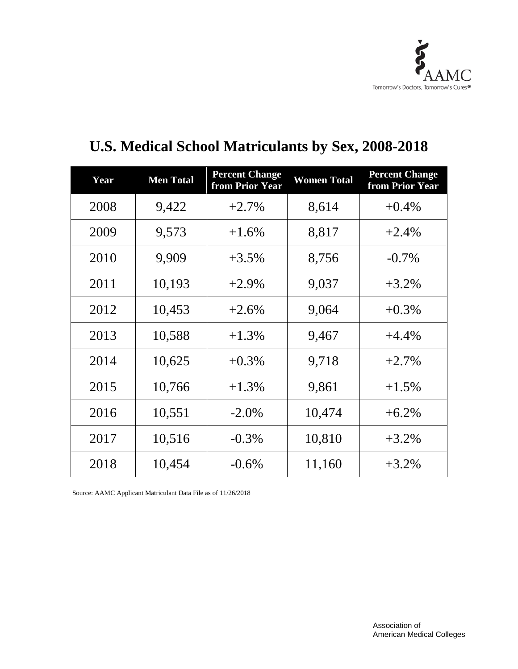

| Year | <b>Men Total</b> | <b>Percent Change</b><br>from Prior Year | <b>Women Total</b> | <b>Percent Change</b><br>from Prior Year |
|------|------------------|------------------------------------------|--------------------|------------------------------------------|
| 2008 | 9,422            | $+2.7\%$                                 | 8,614              | $+0.4\%$                                 |
| 2009 | 9,573            | $+1.6\%$                                 | 8,817              | $+2.4%$                                  |
| 2010 | 9,909            | $+3.5\%$                                 | 8,756              | $-0.7\%$                                 |
| 2011 | 10,193           | $+2.9\%$                                 | 9,037              | $+3.2%$                                  |
| 2012 | 10,453           | $+2.6%$                                  | 9,064              | $+0.3\%$                                 |
| 2013 | 10,588           | $+1.3%$                                  | 9,467              | $+4.4%$                                  |
| 2014 | 10,625           | $+0.3\%$                                 | 9,718              | $+2.7\%$                                 |
| 2015 | 10,766           | $+1.3\%$                                 | 9,861              | $+1.5%$                                  |
| 2016 | 10,551           | $-2.0\%$                                 | 10,474             | $+6.2\%$                                 |
| 2017 | 10,516           | $-0.3\%$                                 | 10,810             | $+3.2%$                                  |
| 2018 | 10,454           | $-0.6%$                                  | 11,160             | $+3.2%$                                  |

### **U.S. Medical School Matriculants by Sex, 2008-2018**